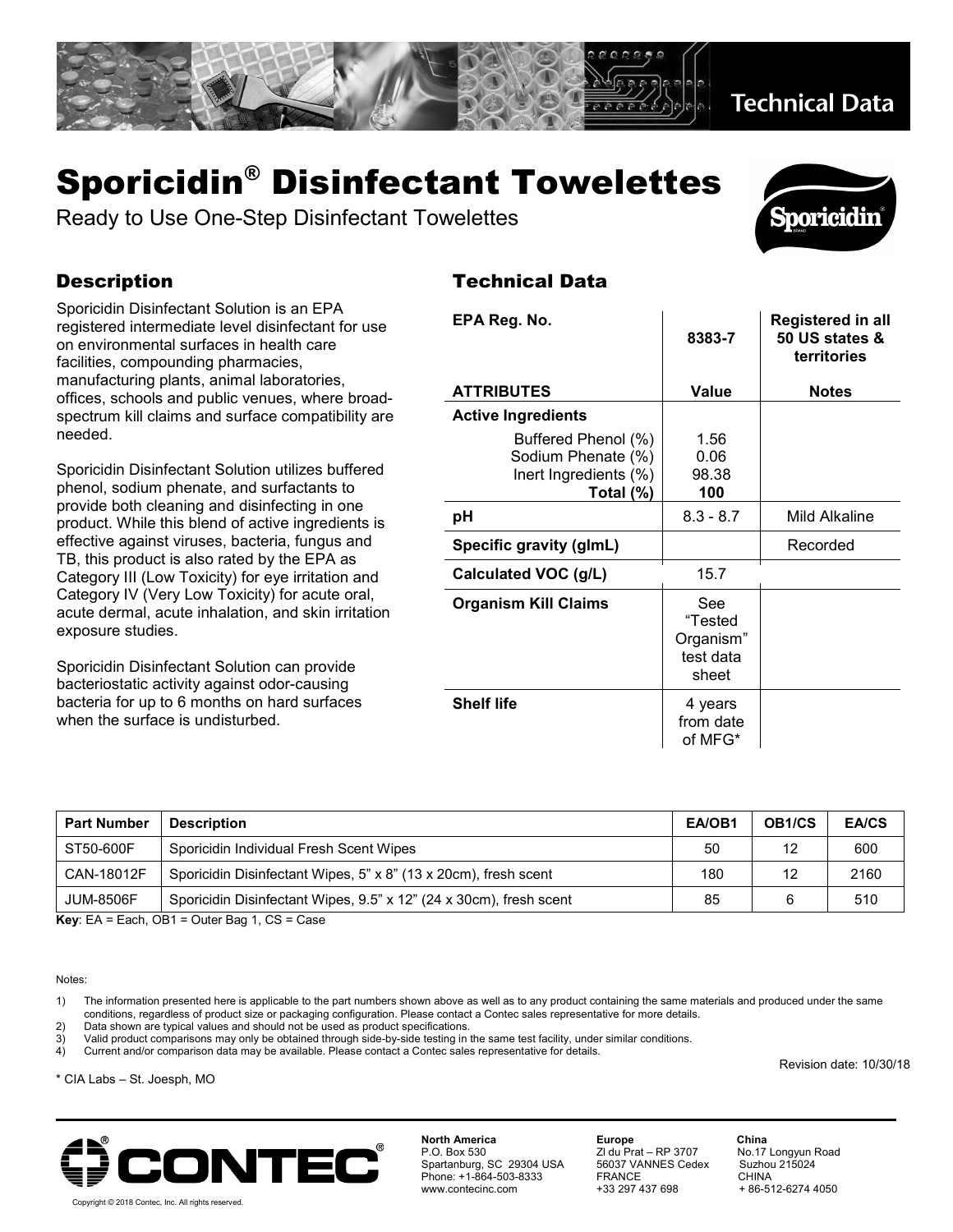

## Sporicidin® Disinfectant Towelettes

Ready to Use One-Step Disinfectant Towelettes

## **Description**

Sporicidin Disinfectant Solution is an EPA registered intermediate level disinfectant for use on environmental surfaces in health care facilities, compounding pharmacies, manufacturing plants, animal laboratories, offices, schools and public venues, where broadspectrum kill claims and surface compatibility are needed.

Sporicidin Disinfectant Solution utilizes buffered phenol, sodium phenate, and surfactants to provide both cleaning and disinfecting in one product. While this blend of active ingredients is effective against viruses, bacteria, fungus and TB, this product is also rated by the EPA as Category III (Low Toxicity) for eye irritation and Category IV (Very Low Toxicity) for acute oral, acute dermal, acute inhalation, and skin irritation exposure studies.

Sporicidin Disinfectant Solution can provide bacteriostatic activity against odor-causing bacteria for up to 6 months on hard surfaces when the surface is undisturbed.

## Technical Data

| EPA Reg. No.                                                                    | 8383-7                                            | Registered in all<br>50 US states &<br>territories |
|---------------------------------------------------------------------------------|---------------------------------------------------|----------------------------------------------------|
| <b>ATTRIBUTES</b>                                                               | Value                                             | <b>Notes</b>                                       |
| <b>Active Ingredients</b>                                                       |                                                   |                                                    |
| Buffered Phenol (%)<br>Sodium Phenate (%)<br>Inert Ingredients (%)<br>Total (%) | 1.56<br>0.06<br>98.38<br>100                      |                                                    |
| рH                                                                              | $8.3 - 8.7$                                       | Mild Alkaline                                      |
| Specific gravity (glmL)                                                         |                                                   | Recorded                                           |
| Calculated VOC (g/L)                                                            | 15.7                                              |                                                    |
| <b>Organism Kill Claims</b>                                                     | See<br>"Tested<br>Organism"<br>test data<br>sheet |                                                    |
| <b>Shelf life</b>                                                               | 4 years<br>from date<br>of MFG*                   |                                                    |

| <b>Part Number</b> | <b>Description</b>                                                 | EA/OB1 | OB <sub>1/CS</sub> | <b>EA/CS</b> |
|--------------------|--------------------------------------------------------------------|--------|--------------------|--------------|
| ST50-600F          | Sporicidin Individual Fresh Scent Wipes                            | 50     | 12                 | 600          |
| CAN-18012F         | Sporicidin Disinfectant Wipes, 5" x 8" (13 x 20cm), fresh scent    | 180    | 12                 | 2160         |
| <b>JUM-8506F</b>   | Sporicidin Disinfectant Wipes, 9.5" x 12" (24 x 30cm), fresh scent | 85     |                    | 510          |

**Key**: EA = Each, OB1 = Outer Bag 1, CS = Case

## Notes:

1) The information presented here is applicable to the part numbers shown above as well as to any product containing the same materials and produced under the same conditions, regardless of product size or packaging configuration. Please contact a Contec sales representative for more details.

2) Data shown are typical values and should not be used as product specifications.<br>3) Valid product comparisons may only be obtained through side-by-side testing in 3) Valid product comparisons may only be obtained through side-by-side testing in the same test facility, under similar conditions.<br>4) Current and/or comparison data may be available. Please contact a Contec sales represen

4) Current and/or comparison data may be available. Please contact a Contec sales representative for details.

\* CIA Labs – St. Joesph, MO



**North America Europe China**<br> **P.O. Box 530 Example 2 Z** du Prat – RP 3707 **No.17** Longyun Road Spartanburg, SC 29304 USA 56037 VANNES Cedex Suzhou 215024 Phone: +1-864-503-8333 FRANCE CHINA

P.o. Box 5<br>
2 du Prat – RP 3707<br>
56037 VANNES Cedex

+ 86-512-6274 4050

Revision date: 10/30/18

**Sporicidin** 

Copyright © 2018 Contec, Inc. All rights reserved.